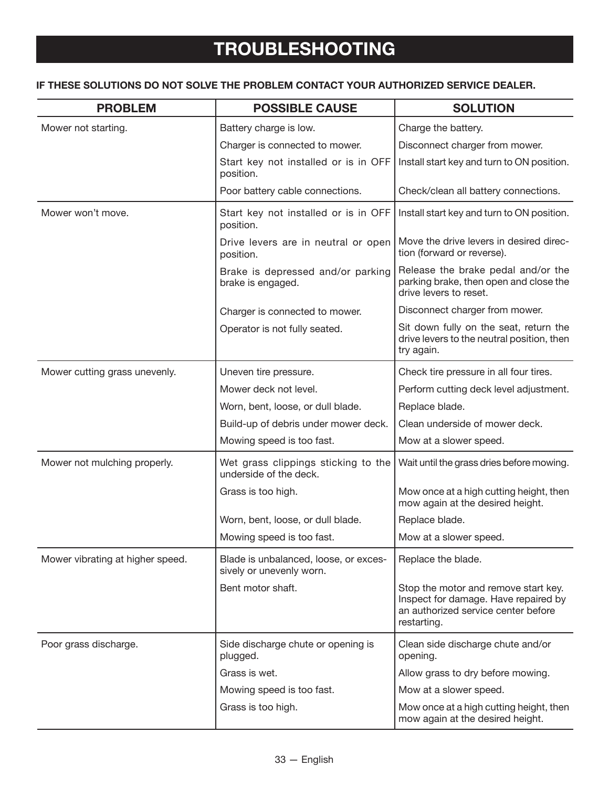## **IF THESE SOLUTIONS DO NOT SOLVE THE PROBLEM CONTACT YOUR AUTHORIZED SERVICE DEALER.**

| <b>PROBLEM</b>                   | <b>POSSIBLE CAUSE</b>                                             | <b>SOLUTION</b>                                                                                                                    |
|----------------------------------|-------------------------------------------------------------------|------------------------------------------------------------------------------------------------------------------------------------|
| Mower not starting.              | Battery charge is low.                                            | Charge the battery.                                                                                                                |
|                                  | Charger is connected to mower.                                    | Disconnect charger from mower.                                                                                                     |
|                                  | Start key not installed or is in OFF<br>position.                 | Install start key and turn to ON position.                                                                                         |
|                                  | Poor battery cable connections.                                   | Check/clean all battery connections.                                                                                               |
| Mower won't move.                | Start key not installed or is in OFF<br>position.                 | Install start key and turn to ON position.                                                                                         |
|                                  | Drive levers are in neutral or open<br>position.                  | Move the drive levers in desired direc-<br>tion (forward or reverse).                                                              |
|                                  | Brake is depressed and/or parking<br>brake is engaged.            | Release the brake pedal and/or the<br>parking brake, then open and close the<br>drive levers to reset.                             |
|                                  | Charger is connected to mower.                                    | Disconnect charger from mower.                                                                                                     |
|                                  | Operator is not fully seated.                                     | Sit down fully on the seat, return the<br>drive levers to the neutral position, then<br>try again.                                 |
| Mower cutting grass unevenly.    | Uneven tire pressure.                                             | Check tire pressure in all four tires.                                                                                             |
|                                  | Mower deck not level.                                             | Perform cutting deck level adjustment.                                                                                             |
|                                  | Worn, bent, loose, or dull blade.                                 | Replace blade.                                                                                                                     |
|                                  | Build-up of debris under mower deck.                              | Clean underside of mower deck.                                                                                                     |
|                                  | Mowing speed is too fast.                                         | Mow at a slower speed.                                                                                                             |
| Mower not mulching properly.     | Wet grass clippings sticking to the<br>underside of the deck.     | Wait until the grass dries before mowing.                                                                                          |
|                                  | Grass is too high.                                                | Mow once at a high cutting height, then<br>mow again at the desired height.                                                        |
|                                  | Worn, bent, loose, or dull blade.                                 | Replace blade.                                                                                                                     |
|                                  | Mowing speed is too fast.                                         | Mow at a slower speed.                                                                                                             |
| Mower vibrating at higher speed. | Blade is unbalanced, loose, or exces-<br>sively or unevenly worn. | Replace the blade.                                                                                                                 |
|                                  | Bent motor shaft.                                                 | Stop the motor and remove start key.<br>Inspect for damage. Have repaired by<br>an authorized service center before<br>restarting. |
| Poor grass discharge.            | Side discharge chute or opening is<br>plugged.                    | Clean side discharge chute and/or<br>opening.                                                                                      |
|                                  | Grass is wet.                                                     | Allow grass to dry before mowing.                                                                                                  |
|                                  | Mowing speed is too fast.                                         | Mow at a slower speed.                                                                                                             |
|                                  | Grass is too high.                                                | Mow once at a high cutting height, then<br>mow again at the desired height.                                                        |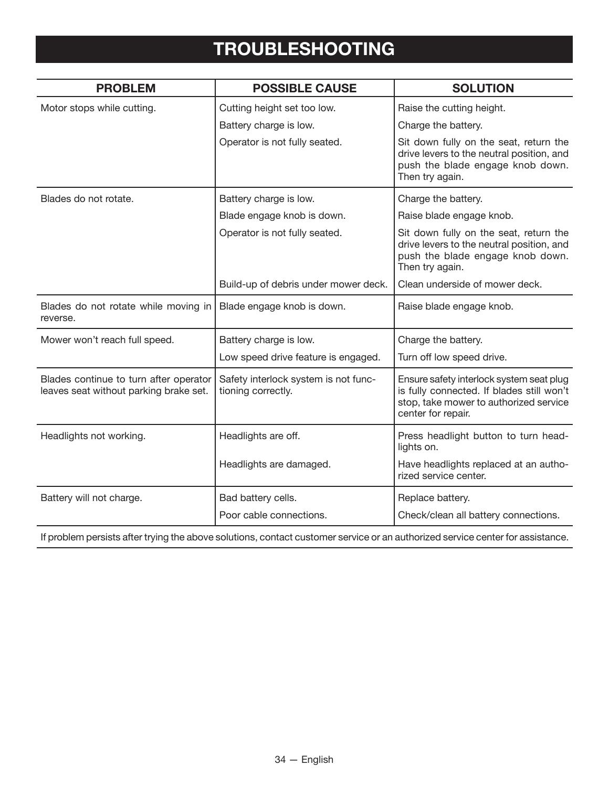## **TROUBLESHOOTING**

| <b>PROBLEM</b>                                                                   | <b>POSSIBLE CAUSE</b>                                      | <b>SOLUTION</b>                                                                                                                                       |
|----------------------------------------------------------------------------------|------------------------------------------------------------|-------------------------------------------------------------------------------------------------------------------------------------------------------|
| Motor stops while cutting.                                                       | Cutting height set too low.                                | Raise the cutting height.                                                                                                                             |
|                                                                                  | Battery charge is low.                                     | Charge the battery.                                                                                                                                   |
|                                                                                  | Operator is not fully seated.                              | Sit down fully on the seat, return the<br>drive levers to the neutral position, and<br>push the blade engage knob down.<br>Then try again.            |
| Blades do not rotate.                                                            | Battery charge is low.                                     | Charge the battery.                                                                                                                                   |
|                                                                                  | Blade engage knob is down.                                 | Raise blade engage knob.                                                                                                                              |
|                                                                                  | Operator is not fully seated.                              | Sit down fully on the seat, return the<br>drive levers to the neutral position, and<br>push the blade engage knob down.<br>Then try again.            |
|                                                                                  | Build-up of debris under mower deck.                       | Clean underside of mower deck.                                                                                                                        |
| Blades do not rotate while moving in<br>reverse.                                 | Blade engage knob is down.                                 | Raise blade engage knob.                                                                                                                              |
| Mower won't reach full speed.                                                    | Battery charge is low.                                     | Charge the battery.                                                                                                                                   |
|                                                                                  | Low speed drive feature is engaged.                        | Turn off low speed drive.                                                                                                                             |
| Blades continue to turn after operator<br>leaves seat without parking brake set. | Safety interlock system is not func-<br>tioning correctly. | Ensure safety interlock system seat plug<br>is fully connected. If blades still won't<br>stop, take mower to authorized service<br>center for repair. |
| Headlights not working.                                                          | Headlights are off.                                        | Press headlight button to turn head-<br>lights on.                                                                                                    |
|                                                                                  | Headlights are damaged.                                    | Have headlights replaced at an autho-<br>rized service center.                                                                                        |
| Battery will not charge.                                                         | Bad battery cells.                                         | Replace battery.                                                                                                                                      |
|                                                                                  | Poor cable connections.                                    | Check/clean all battery connections.                                                                                                                  |

If problem persists after trying the above solutions, contact customer service or an authorized service center for assistance.